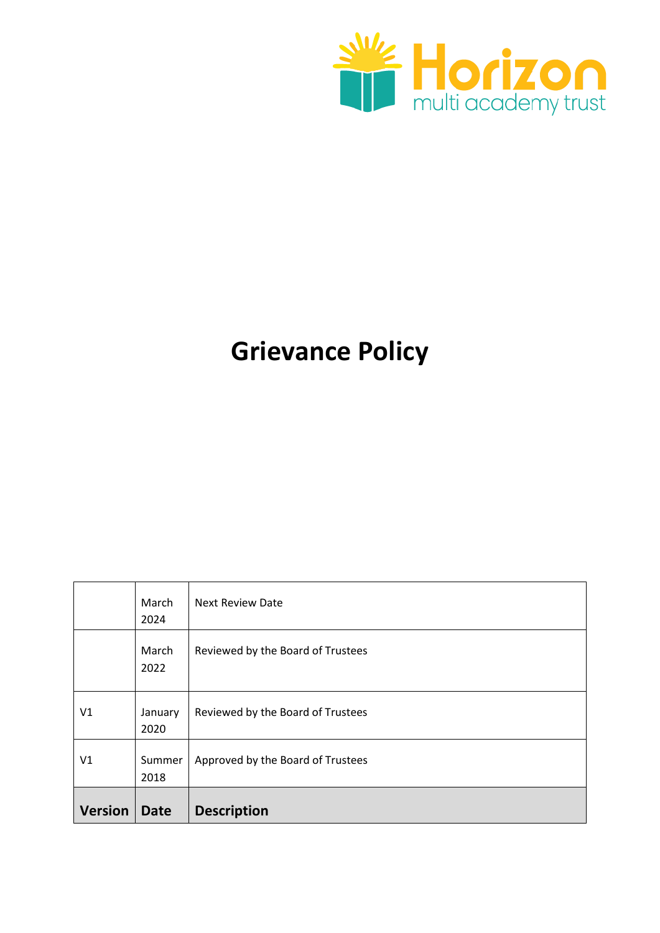<span id="page-0-0"></span>

# **Grievance Policy**

|                | March<br>2024   | <b>Next Review Date</b>           |
|----------------|-----------------|-----------------------------------|
|                | March<br>2022   | Reviewed by the Board of Trustees |
| V1             | January<br>2020 | Reviewed by the Board of Trustees |
| V <sub>1</sub> | Summer<br>2018  | Approved by the Board of Trustees |
| <b>Version</b> | <b>Date</b>     | <b>Description</b>                |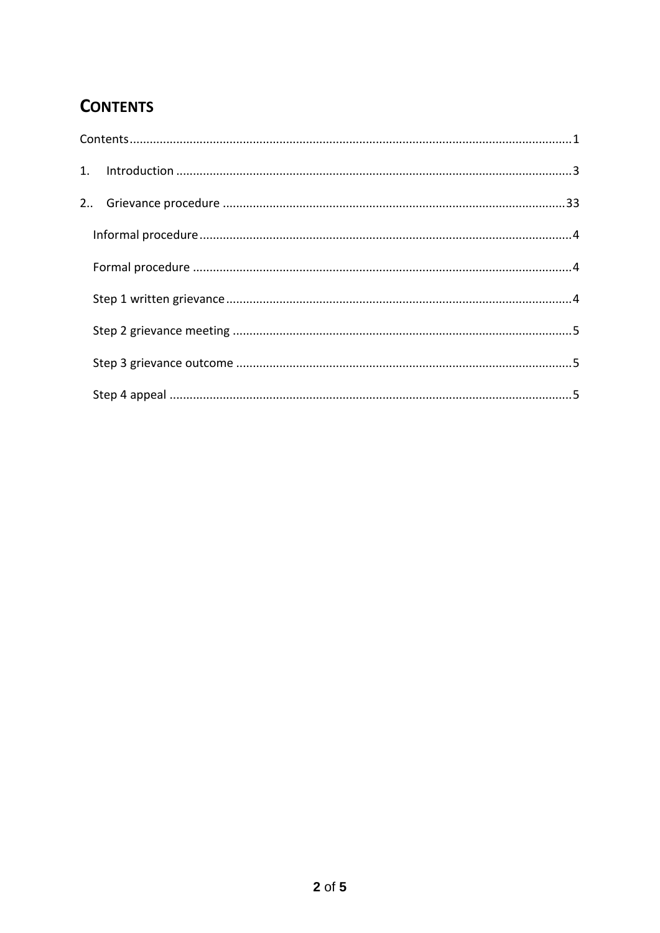# **CONTENTS**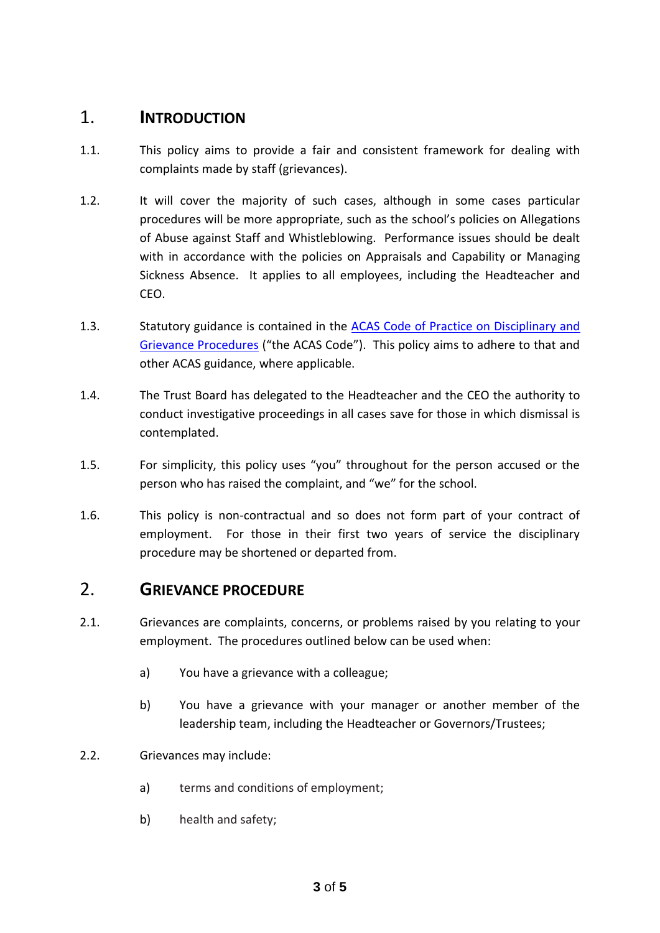## <span id="page-2-0"></span>1. **INTRODUCTION**

- 1.1. This policy aims to provide a fair and consistent framework for dealing with complaints made by staff (grievances).
- 1.2. It will cover the majority of such cases, although in some cases particular procedures will be more appropriate, such as the school's policies on Allegations of Abuse against Staff and Whistleblowing. Performance issues should be dealt with in accordance with the policies on Appraisals and Capability or Managing Sickness Absence. It applies to all employees, including the Headteacher and CEO.
- 1.3. Statutory guidance is contained in the [ACAS Code of Practice on Disciplinary and](http://www.acas.org.uk/media/pdf/f/m/Acas-Code-of-Practice-1-on-disciplinary-and-grievance-procedures.pdf)  [Grievance Procedures](http://www.acas.org.uk/media/pdf/f/m/Acas-Code-of-Practice-1-on-disciplinary-and-grievance-procedures.pdf) ("the ACAS Code"). This policy aims to adhere to that and other ACAS guidance, where applicable.
- 1.4. The Trust Board has delegated to the Headteacher and the CEO the authority to conduct investigative proceedings in all cases save for those in which dismissal is contemplated.
- 1.5. For simplicity, this policy uses "you" throughout for the person accused or the person who has raised the complaint, and "we" for the school.
- 1.6. This policy is non-contractual and so does not form part of your contract of employment. For those in their first two years of service the disciplinary procedure may be shortened or departed from.

## <span id="page-2-1"></span>2. **GRIEVANCE PROCEDURE**

- 2.1. Grievances are complaints, concerns, or problems raised by you relating to your employment. The procedures outlined below can be used when:
	- a) You have a grievance with a colleague;
	- b) You have a grievance with your manager or another member of the leadership team, including the Headteacher or Governors/Trustees;
- 2.2. Grievances may include:
	- a) terms and conditions of employment;
	- b) health and safety;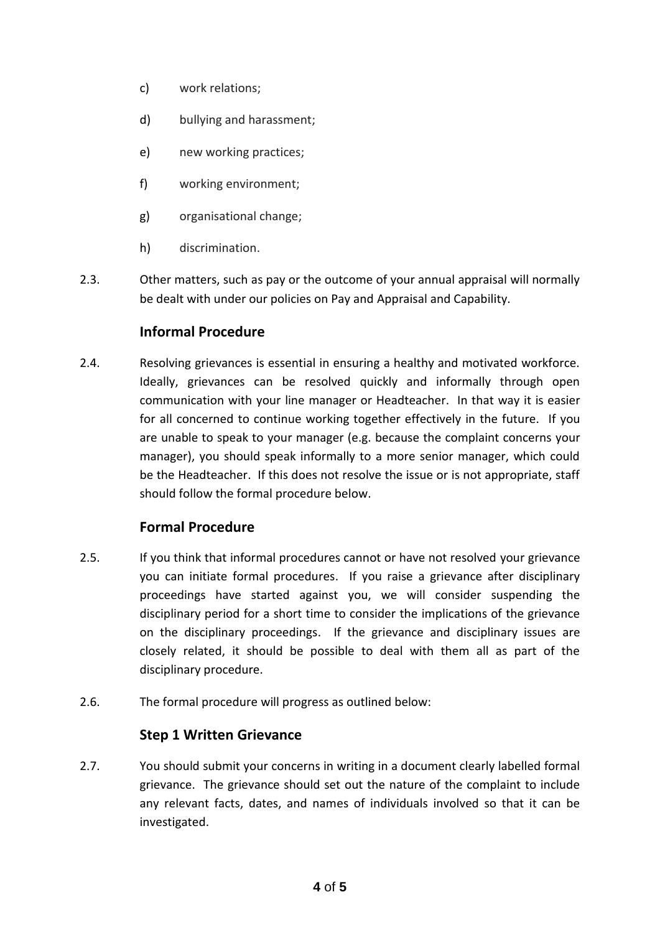- c) work relations;
- d) bullying and harassment;
- e) new working practices;
- f) working environment;
- g) organisational change;
- h) discrimination.
- <span id="page-3-0"></span>2.3. Other matters, such as pay or the outcome of your annual appraisal will normally be dealt with under our policies on Pay and Appraisal and Capability.

#### **Informal Procedure**

2.4. Resolving grievances is essential in ensuring a healthy and motivated workforce. Ideally, grievances can be resolved quickly and informally through open communication with your line manager or Headteacher. In that way it is easier for all concerned to continue working together effectively in the future. If you are unable to speak to your manager (e.g. because the complaint concerns your manager), you should speak informally to a more senior manager, which could be the Headteacher. If this does not resolve the issue or is not appropriate, staff should follow the formal procedure below.

#### **Formal Procedure**

- <span id="page-3-1"></span>2.5. If you think that informal procedures cannot or have not resolved your grievance you can initiate formal procedures. If you raise a grievance after disciplinary proceedings have started against you, we will consider suspending the disciplinary period for a short time to consider the implications of the grievance on the disciplinary proceedings. If the grievance and disciplinary issues are closely related, it should be possible to deal with them all as part of the disciplinary procedure.
- <span id="page-3-2"></span>2.6. The formal procedure will progress as outlined below:

#### **Step 1 Written Grievance**

2.7. You should submit your concerns in writing in a document clearly labelled formal grievance. The grievance should set out the nature of the complaint to include any relevant facts, dates, and names of individuals involved so that it can be investigated.